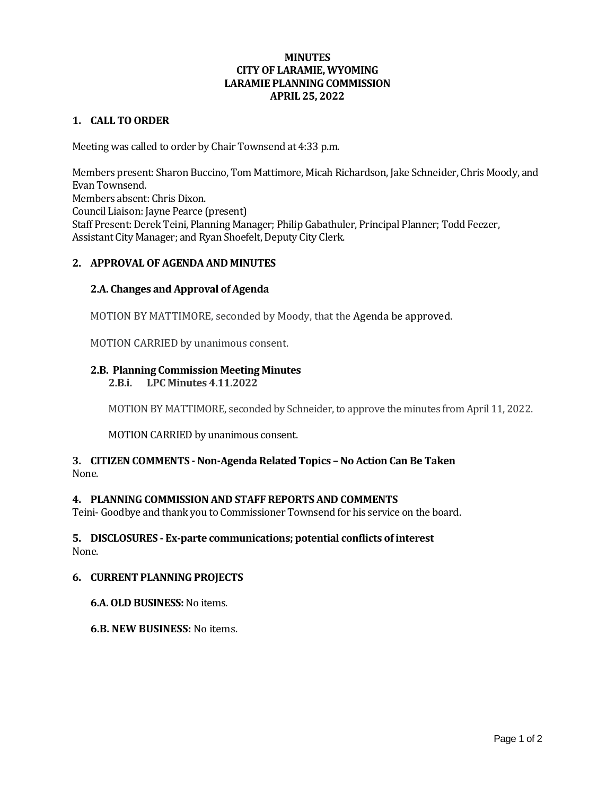# **MINUTES CITY OF LARAMIE, WYOMING LARAMIE PLANNING COMMISSION APRIL 25, 2022**

### **1. CALL TO ORDER**

Meeting was called to order by Chair Townsend at 4:33 p.m.

Members present: Sharon Buccino, Tom Mattimore, Micah Richardson, Jake Schneider, Chris Moody, and Evan Townsend. Members absent: Chris Dixon. Council Liaison: Jayne Pearce (present) Staff Present: Derek Teini, Planning Manager; Philip Gabathuler, Principal Planner; Todd Feezer, Assistant City Manager; and Ryan Shoefelt, Deputy City Clerk.

### **2. APPROVAL OF AGENDA AND MINUTES**

### **2.A. Changes and Approval of Agenda**

MOTION BY MATTIMORE, seconded by Moody, that the Agenda be approved.

MOTION CARRIED by unanimous consent.

# **2.B. Planning Commission Meeting Minutes**

**2.B.i. LPC Minutes 4.11.2022**

MOTION BY MATTIMORE, seconded by Schneider, to approve the minutes from April 11, 2022.

MOTION CARRIED by unanimous consent.

# **3. CITIZEN COMMENTS - Non-Agenda Related Topics – No Action Can Be Taken** None.

### **4. PLANNING COMMISSION AND STAFF REPORTS AND COMMENTS**

Teini- Goodbye and thank you to Commissioner Townsend for his service on the board.

#### **5. DISCLOSURES - Ex-parte communications; potential conflicts of interest** None.

#### **6. CURRENT PLANNING PROJECTS**

#### **6.A. OLD BUSINESS:**No items.

### **6.B. NEW BUSINESS:** No items.